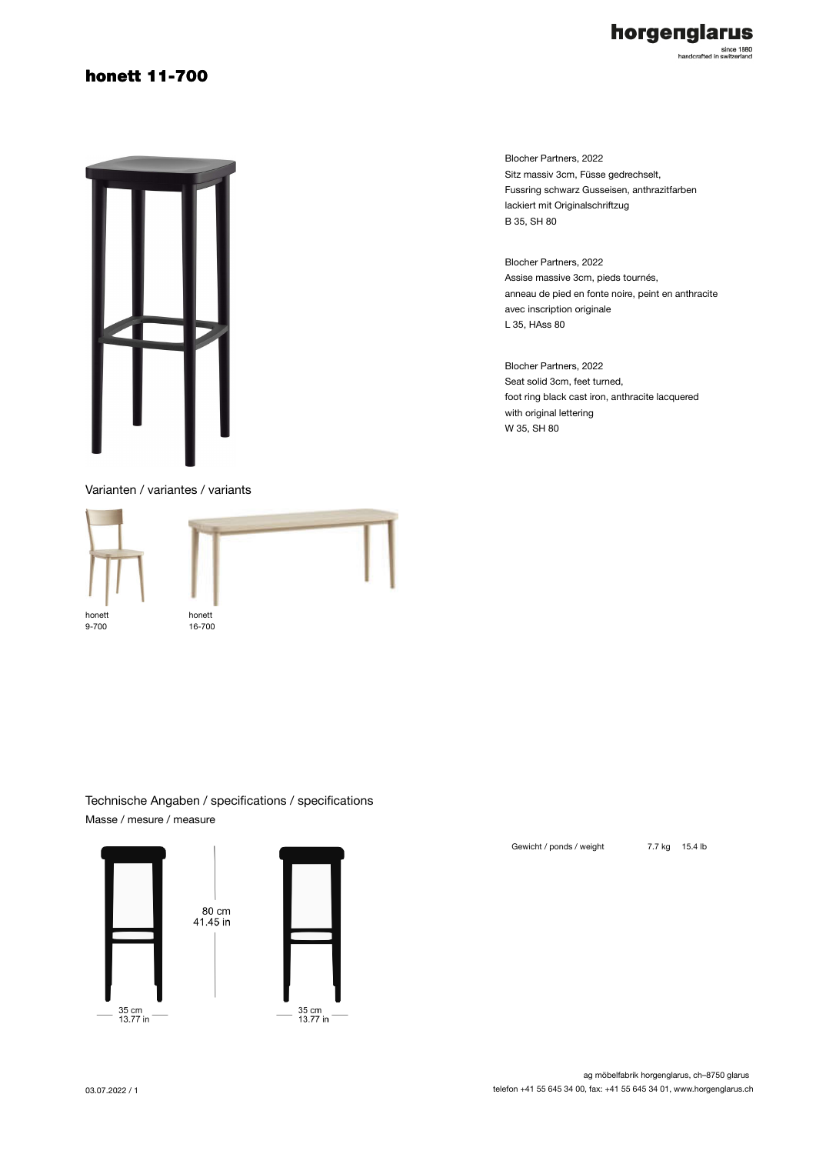### honett 11-700



Varianten / variantes / variants



Blocher Partners, 2022 Sitz massiv 3cm, Füsse gedrechselt, Fussring schwarz Gusseisen, anthrazitfarben lackiert mit Originalschriftzug B 35, SH 80

horgenglarus

since 1880<br>handcrafted in switzerland

Blocher Partners, 2022 Assise massive 3cm, pieds tournés, anneau de pied en fonte noire, peint en anthracite avec inscription originale L 35, HAss 80

Blocher Partners, 2022 Seat solid 3cm, feet turned, foot ring black cast iron, anthracite lacquered with original lettering W 35, SH 80

Technische Angaben / specifications / specifications Masse / mesure / measure

> 80 cm  $41.45$  in





Gewicht / ponds / weight 7.7 kg 15.4 lb